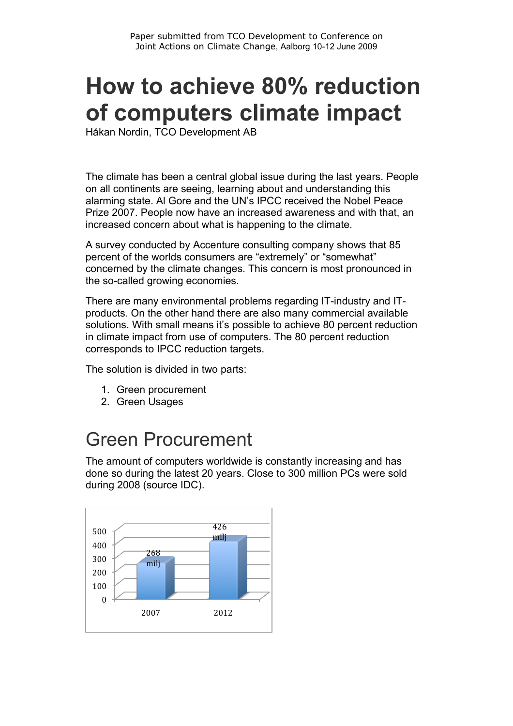# **How to achieve 80% reduction of computers climate impact**

Håkan Nordin, TCO Development AB

The climate has been a central global issue during the last years. People on all continents are seeing, learning about and understanding this alarming state. Al Gore and the UN's IPCC received the Nobel Peace Prize 2007. People now have an increased awareness and with that, an increased concern about what is happening to the climate.

A survey conducted by Accenture consulting company shows that 85 percent of the worlds consumers are "extremely" or "somewhat" concerned by the climate changes. This concern is most pronounced in the so-called growing economies.

There are many environmental problems regarding IT-industry and ITproducts. On the other hand there are also many commercial available solutions. With small means it's possible to achieve 80 percent reduction in climate impact from use of computers. The 80 percent reduction corresponds to IPCC reduction targets.

The solution is divided in two parts:

- 1. Green procurement
- 2. Green Usages

### Green Procurement

The amount of computers worldwide is constantly increasing and has done so during the latest 20 years. Close to 300 million PCs were sold during 2008 (source IDC).

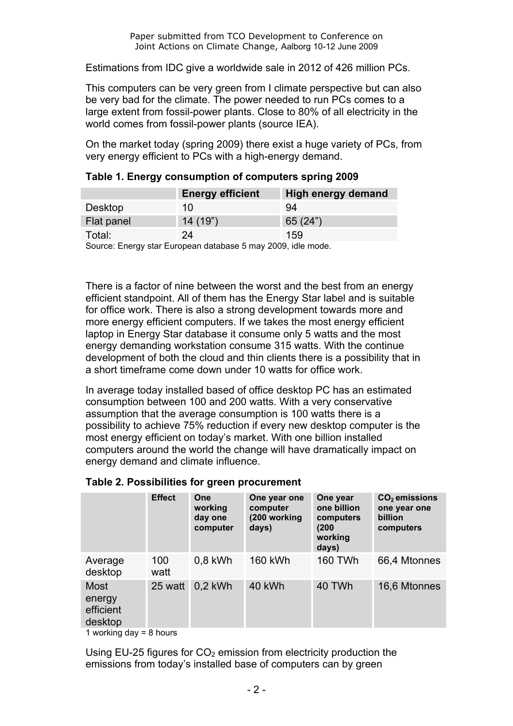Estimations from IDC give a worldwide sale in 2012 of 426 million PCs.

This computers can be very green from I climate perspective but can also be very bad for the climate. The power needed to run PCs comes to a large extent from fossil-power plants. Close to 80% of all electricity in the world comes from fossil-power plants (source IEA).

On the market today (spring 2009) there exist a huge variety of PCs, from very energy efficient to PCs with a high-energy demand.

|                                                            | <b>Energy efficient</b> | High energy demand |  |
|------------------------------------------------------------|-------------------------|--------------------|--|
| Desktop                                                    | 10                      | 94                 |  |
| Flat panel                                                 | 14(19")                 | 65(24")            |  |
| Total:                                                     | 24                      | 159                |  |
| Ostuari Fernanda Fundaria delebrar Ferna (2000 Idla espela |                         |                    |  |

|  |  |  |  | Table 1. Energy consumption of computers spring 2009 |  |
|--|--|--|--|------------------------------------------------------|--|
|--|--|--|--|------------------------------------------------------|--|

Source: Energy star European database 5 may 2009, idle mode.

There is a factor of nine between the worst and the best from an energy efficient standpoint. All of them has the Energy Star label and is suitable for office work. There is also a strong development towards more and more energy efficient computers. If we takes the most energy efficient laptop in Energy Star database it consume only 5 watts and the most energy demanding workstation consume 315 watts. With the continue development of both the cloud and thin clients there is a possibility that in a short timeframe come down under 10 watts for office work.

In average today installed based of office desktop PC has an estimated consumption between 100 and 200 watts. With a very conservative assumption that the average consumption is 100 watts there is a possibility to achieve 75% reduction if every new desktop computer is the most energy efficient on today's market. With one billion installed computers around the world the change will have dramatically impact on energy demand and climate influence.

|                                               | <b>Effect</b> | One<br>working<br>day one<br>computer | One year one<br>computer<br>(200 working<br>days) | One year<br>one billion<br>computers<br>(200)<br>working<br>days) | $CO2$ emissions<br>one year one<br>billion<br>computers |
|-----------------------------------------------|---------------|---------------------------------------|---------------------------------------------------|-------------------------------------------------------------------|---------------------------------------------------------|
| Average<br>desktop                            | 100<br>watt   | $0.8$ kWh                             | <b>160 kWh</b>                                    | <b>160 TWh</b>                                                    | 66,4 Mtonnes                                            |
| <b>Most</b><br>energy<br>efficient<br>desktop | 25 watt       | $0.2$ kWh                             | 40 kWh                                            | 40 TWh                                                            | 16,6 Mtonnes                                            |
| ومستوط المستنصاح بممشاه ويستناه               |               |                                       |                                                   |                                                                   |                                                         |

#### **Table 2. Possibilities for green procurement**

1 working day = 8 hours

Using EU-25 figures for  $CO<sub>2</sub>$  emission from electricity production the emissions from today's installed base of computers can by green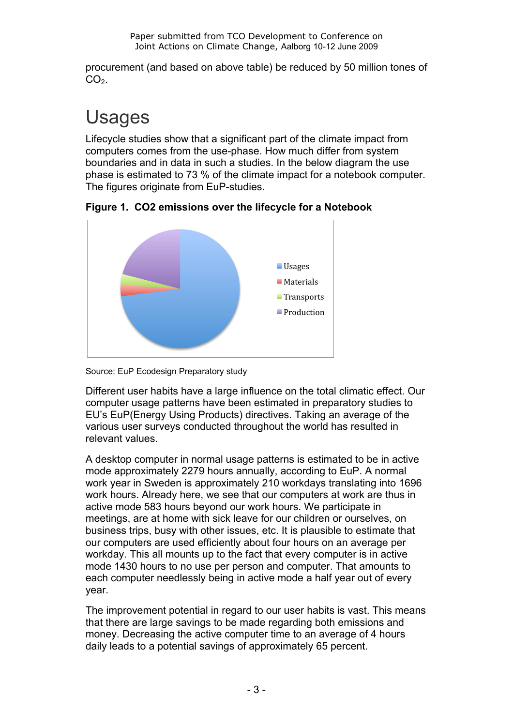procurement (and based on above table) be reduced by 50 million tones of  $CO<sub>2</sub>$ .

## Usages

Lifecycle studies show that a significant part of the climate impact from computers comes from the use-phase. How much differ from system boundaries and in data in such a studies. In the below diagram the use phase is estimated to 73 % of the climate impact for a notebook computer. The figures originate from EuP-studies.



**Figure 1. CO2 emissions over the lifecycle for a Notebook**



Different user habits have a large influence on the total climatic effect. Our computer usage patterns have been estimated in preparatory studies to EU's EuP(Energy Using Products) directives. Taking an average of the various user surveys conducted throughout the world has resulted in relevant values.

A desktop computer in normal usage patterns is estimated to be in active mode approximately 2279 hours annually, according to EuP. A normal work year in Sweden is approximately 210 workdays translating into 1696 work hours. Already here, we see that our computers at work are thus in active mode 583 hours beyond our work hours. We participate in meetings, are at home with sick leave for our children or ourselves, on business trips, busy with other issues, etc. It is plausible to estimate that our computers are used efficiently about four hours on an average per workday. This all mounts up to the fact that every computer is in active mode 1430 hours to no use per person and computer. That amounts to each computer needlessly being in active mode a half year out of every year.

The improvement potential in regard to our user habits is vast. This means that there are large savings to be made regarding both emissions and money. Decreasing the active computer time to an average of 4 hours daily leads to a potential savings of approximately 65 percent.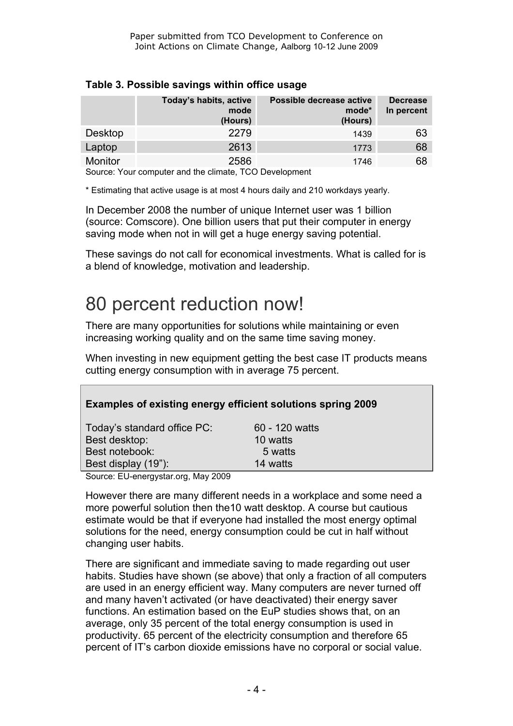|                | Today's habits, active<br>mode<br>(Hours) | Possible decrease active<br>mode*<br>(Hours) | <b>Decrease</b><br>In percent |
|----------------|-------------------------------------------|----------------------------------------------|-------------------------------|
| Desktop        | 2279                                      | 1439                                         | 63                            |
| Laptop         | 2613                                      | 1773                                         | 68                            |
| <b>Monitor</b> | 2586                                      | 1746                                         | 68                            |

#### **Table 3. Possible savings within office usage**

Source: Your computer and the climate, TCO Development

\* Estimating that active usage is at most 4 hours daily and 210 workdays yearly.

In December 2008 the number of unique Internet user was 1 billion (source: Comscore). One billion users that put their computer in energy saving mode when not in will get a huge energy saving potential.

These savings do not call for economical investments. What is called for is a blend of knowledge, motivation and leadership.

## 80 percent reduction now!

There are many opportunities for solutions while maintaining or even increasing working quality and on the same time saving money.

When investing in new equipment getting the best case IT products means cutting energy consumption with in average 75 percent.

| Examples of existing energy efficient solutions spring 2009 |                |
|-------------------------------------------------------------|----------------|
| Today's standard office PC:                                 | 60 - 120 watts |
| Best desktop:                                               | 10 watts       |
| Best notebook:                                              | 5 watts        |
| Best display (19"):                                         | 14 watts       |
| Course: ELL spermister arg. May 2000                        |                |

Source: EU-energystar.org, May 2009

However there are many different needs in a workplace and some need a more powerful solution then the10 watt desktop. A course but cautious estimate would be that if everyone had installed the most energy optimal solutions for the need, energy consumption could be cut in half without changing user habits.

There are significant and immediate saving to made regarding out user habits. Studies have shown (se above) that only a fraction of all computers are used in an energy efficient way. Many computers are never turned off and many haven't activated (or have deactivated) their energy saver functions. An estimation based on the EuP studies shows that, on an average, only 35 percent of the total energy consumption is used in productivity. 65 percent of the electricity consumption and therefore 65 percent of IT's carbon dioxide emissions have no corporal or social value.